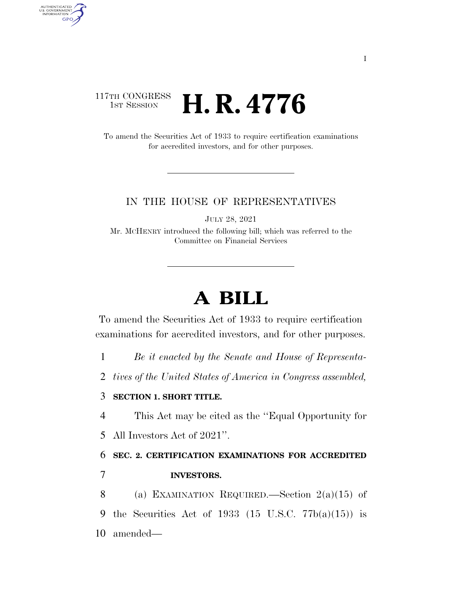## 117TH CONGRESS **HE CONGRESS H. R. 4776**

AUTHENTICATED<br>U.S. GOVERNMENT<br>INFORMATION

**GPO** 

To amend the Securities Act of 1933 to require certification examinations for accredited investors, and for other purposes.

#### IN THE HOUSE OF REPRESENTATIVES

JULY 28, 2021

Mr. MCHENRY introduced the following bill; which was referred to the Committee on Financial Services

# **A BILL**

To amend the Securities Act of 1933 to require certification examinations for accredited investors, and for other purposes.

- 1 *Be it enacted by the Senate and House of Representa-*
- 2 *tives of the United States of America in Congress assembled,*

#### 3 **SECTION 1. SHORT TITLE.**

4 This Act may be cited as the ''Equal Opportunity for

5 All Investors Act of 2021''.

## 6 **SEC. 2. CERTIFICATION EXAMINATIONS FOR ACCREDITED**

### 7 **INVESTORS.**

8 (a) EXAMINATION REQUIRED.—Section 2(a)(15) of 9 the Securities Act of 1933  $(15 \text{ U.S.C. } 77b(a)(15))$  is 10 amended—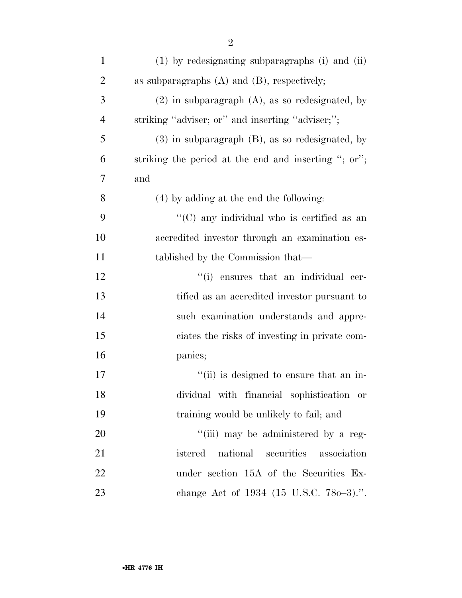| $\mathbf{1}$   | (1) by redesignating subparagraphs (i) and (ii)                                                                        |
|----------------|------------------------------------------------------------------------------------------------------------------------|
| $\overline{2}$ | as subparagraphs $(A)$ and $(B)$ , respectively;                                                                       |
| 3              | $(2)$ in subparagraph $(A)$ , as so redesignated, by                                                                   |
| $\overline{4}$ | striking "adviser; or" and inserting "adviser;";                                                                       |
| 5              | $(3)$ in subparagraph $(B)$ , as so redesignated, by                                                                   |
| 6              | striking the period at the end and inserting "; or";                                                                   |
| 7              | and                                                                                                                    |
| 8              | (4) by adding at the end the following:                                                                                |
| 9              | "(C) any individual who is certified as an                                                                             |
| 10             | accredited investor through an examination es-                                                                         |
| 11             | tablished by the Commission that—                                                                                      |
| 12             | "(i) ensures that an individual cer-                                                                                   |
| 13             | tified as an accredited investor pursuant to                                                                           |
| 14             | such examination understands and appre-                                                                                |
| 15             | ciates the risks of investing in private com-                                                                          |
| 16             | panies;                                                                                                                |
| 17             | "(ii) is designed to ensure that an in-                                                                                |
| 18             | dividual with financial sophistication or                                                                              |
| 19             | training would be unlikely to fail; and                                                                                |
| 20             | "(iii) may be administered by a reg-                                                                                   |
| 21             | national securities association<br>istered                                                                             |
| $\mathbf{A}$   | $\mathbf{u}^{\star}$ , $\mathbf{u}^{\star}$ and $\mathbf{u}^{\star}$ and $\mathbf{u}^{\star}$ and $\mathbf{u}^{\star}$ |

- under section 15A of the Securities Ex-
- change Act of 1934 (15 U.S.C. 78o–3).''.